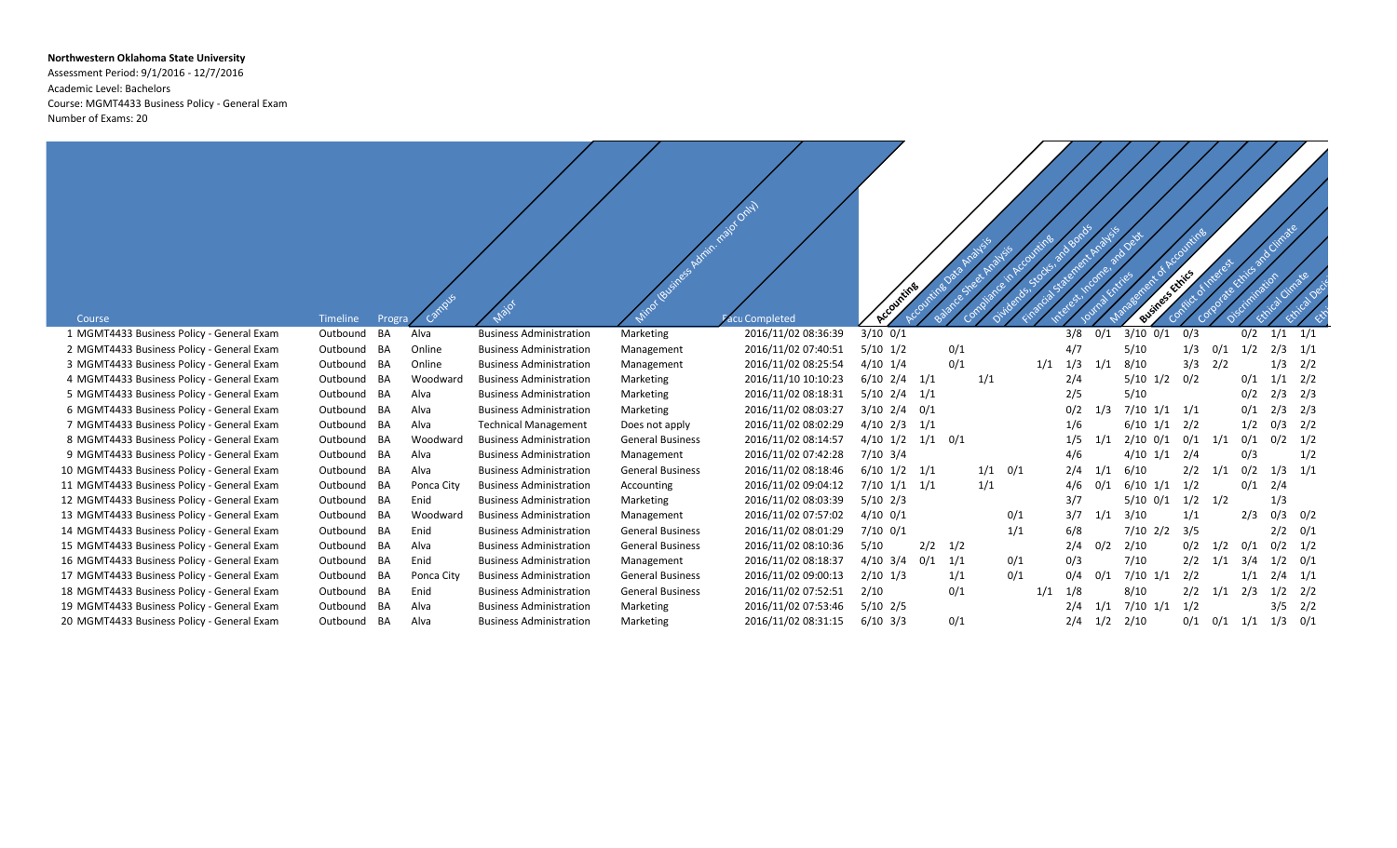## **Northwestern Oklahoma State University**

Assessment Period: 9/1/2016 - 12/7/2016 Academic Level: Bachelors Course: MGMT4433 Business Policy - General Exam Number of Exams: 20

| Course                                     | <b>Timeline</b> | Progra |            |                                | Minos (ausiness Admin. najoto Only) | acu Completed       | Accounting         |     |     |             |     |     |     | Business Ethics    |     |     |     |     |     |
|--------------------------------------------|-----------------|--------|------------|--------------------------------|-------------------------------------|---------------------|--------------------|-----|-----|-------------|-----|-----|-----|--------------------|-----|-----|-----|-----|-----|
| 1 MGMT4433 Business Policy - General Exam  | Outbound BA     |        | Alva       | <b>Business Administration</b> | Marketing                           | 2016/11/02 08:36:39 | $3/10$ 0/1         |     |     |             |     | 3/8 | 0/1 | $3/10$ $0/1$       | 0/3 |     | 0/2 | 1/1 | 1/1 |
| 2 MGMT4433 Business Policy - General Exam  | Outbound BA     |        | Online     | <b>Business Administration</b> | Management                          | 2016/11/02 07:40:51 | $5/10$ $1/2$       |     | 0/1 |             |     | 4/7 |     | 5/10               | 1/3 | 0/1 | 1/2 | 2/3 | 1/1 |
| 3 MGMT4433 Business Policy - General Exam  | Outbound BA     |        | Online     | <b>Business Administration</b> | Management                          | 2016/11/02 08:25:54 | $4/10$ $1/4$       |     | 0/1 |             | 1/1 | 1/3 | 1/1 | 8/10               | 3/3 | 2/2 |     | 1/3 | 2/2 |
| 4 MGMT4433 Business Policy - General Exam  | Outbound BA     |        | Woodward   | <b>Business Administration</b> | Marketing                           | 2016/11/10 10:10:23 | $6/10$ $2/4$ $1/1$ |     |     | 1/1         |     | 2/4 |     | $5/10$ $1/2$ $0/2$ |     |     | 0/1 | 1/1 | 2/2 |
| 5 MGMT4433 Business Policy - General Exam  | Outbound BA     |        | Alva       | <b>Business Administration</b> | Marketing                           | 2016/11/02 08:18:31 | $5/10$ $2/4$ $1/1$ |     |     |             |     | 2/5 |     | 5/10               |     |     | 0/2 | 2/3 | 2/3 |
| 6 MGMT4433 Business Policy - General Exam  | Outbound BA     |        | Alva       | <b>Business Administration</b> | Marketing                           | 2016/11/02 08:03:27 | $3/10$ $2/4$ $0/1$ |     |     |             |     | 0/2 | 1/3 | $7/10$ $1/1$ $1/1$ |     |     | 0/1 | 2/3 | 2/3 |
| 7 MGMT4433 Business Policy - General Exam  | Outbound BA     |        | Alva       | <b>Technical Management</b>    | Does not apply                      | 2016/11/02 08:02:29 | $4/10$ $2/3$ $1/1$ |     |     |             |     | 1/6 |     | $6/10$ $1/1$ $2/2$ |     |     | 1/2 | 0/3 | 2/2 |
| 8 MGMT4433 Business Policy - General Exam  | Outbound BA     |        | Woodward   | <b>Business Administration</b> | <b>General Business</b>             | 2016/11/02 08:14:57 | $4/10$ $1/2$       | 1/1 | 0/1 |             |     | 1/5 | 1/1 | $2/10$ 0/1         | 0/1 | 1/1 | 0/1 | 0/2 | 1/2 |
| 9 MGMT4433 Business Policy - General Exam  | Outbound BA     |        | Alva       | <b>Business Administration</b> | Management                          | 2016/11/02 07:42:28 | $7/10$ 3/4         |     |     |             |     | 4/6 |     | $4/10$ $1/1$       | 2/4 |     | 0/3 |     | 1/2 |
| 10 MGMT4433 Business Policy - General Exam | Outbound BA     |        | Alva       | <b>Business Administration</b> | <b>General Business</b>             | 2016/11/02 08:18:46 | $6/10$ $1/2$ $1/1$ |     |     | $1/1$ $0/1$ |     | 2/4 | 1/1 | 6/10               | 2/2 | 1/1 | 0/2 | 1/3 | 1/1 |
| 11 MGMT4433 Business Policy - General Exam | Outbound BA     |        | Ponca City | <b>Business Administration</b> | Accounting                          | 2016/11/02 09:04:12 | $7/10$ $1/1$ $1/1$ |     |     | 1/1         |     | 4/6 | 0/1 | $6/10$ $1/1$ $1/2$ |     |     | 0/1 | 2/4 |     |
| 12 MGMT4433 Business Policy - General Exam | Outbound BA     |        | Enid       | <b>Business Administration</b> | Marketing                           | 2016/11/02 08:03:39 | $5/10$ 2/3         |     |     |             |     | 3/7 |     | $5/10$ 0/1         | 1/2 | 1/2 |     | 1/3 |     |
| 13 MGMT4433 Business Policy - General Exam | Outbound BA     |        | Woodward   | <b>Business Administration</b> | Management                          | 2016/11/02 07:57:02 | $4/10$ 0/1         |     |     | 0/1         |     | 3/7 | 1/1 | 3/10               | 1/1 |     | 2/3 | 0/3 | 0/2 |
| 14 MGMT4433 Business Policy - General Exam | Outbound BA     |        | Enid       | <b>Business Administration</b> | <b>General Business</b>             | 2016/11/02 08:01:29 | $7/10$ 0/1         |     |     | 1/1         |     | 6/8 |     | $7/10$ 2/2         | 3/5 |     |     | 2/2 | 0/1 |
| 15 MGMT4433 Business Policy - General Exam | Outbound BA     |        | Alva       | <b>Business Administration</b> | <b>General Business</b>             | 2016/11/02 08:10:36 | 5/10               | 2/2 | 1/2 |             |     | 2/4 | 0/2 | 2/10               | 0/2 | 1/2 | 0/1 | 0/2 | 1/2 |
| 16 MGMT4433 Business Policy - General Exam | Outbound BA     |        | Enid       | <b>Business Administration</b> | Management                          | 2016/11/02 08:18:37 | $4/10$ $3/4$ $0/1$ |     | 1/1 | 0/1         |     | 0/3 |     | 7/10               | 2/2 | 1/1 | 3/4 | 1/2 | 0/1 |
| 17 MGMT4433 Business Policy - General Exam | Outbound BA     |        | Ponca City | <b>Business Administration</b> | <b>General Business</b>             | 2016/11/02 09:00:13 | $2/10$ 1/3         |     | 1/1 | 0/1         |     | 0/4 | 0/1 | $7/10$ $1/1$       | 2/2 |     | 1/1 | 2/4 | 1/1 |
| 18 MGMT4433 Business Policy - General Exam | Outbound BA     |        | Enid       | <b>Business Administration</b> | <b>General Business</b>             | 2016/11/02 07:52:51 | 2/10               |     | 0/1 |             | 1/1 | 1/8 |     | 8/10               | 2/2 | 1/1 | 2/3 | 1/2 | 2/2 |
| 19 MGMT4433 Business Policy - General Exam | Outbound BA     |        | Alva       | <b>Business Administration</b> | Marketing                           | 2016/11/02 07:53:46 | $5/10$ 2/5         |     |     |             |     | 2/4 | 1/1 | $7/10$ $1/1$       | 1/2 |     |     | 3/5 | 2/2 |
| 20 MGMT4433 Business Policy - General Exam | Outbound BA     |        | Alva       | <b>Business Administration</b> | Marketing                           | 2016/11/02 08:31:15 | $6/10$ 3/3         |     | 0/1 |             |     | 2/4 | 1/2 | 2/10               | 0/1 | 0/1 | 1/1 | 1/3 | 0/1 |
|                                            |                 |        |            |                                |                                     |                     |                    |     |     |             |     |     |     |                    |     |     |     |     |     |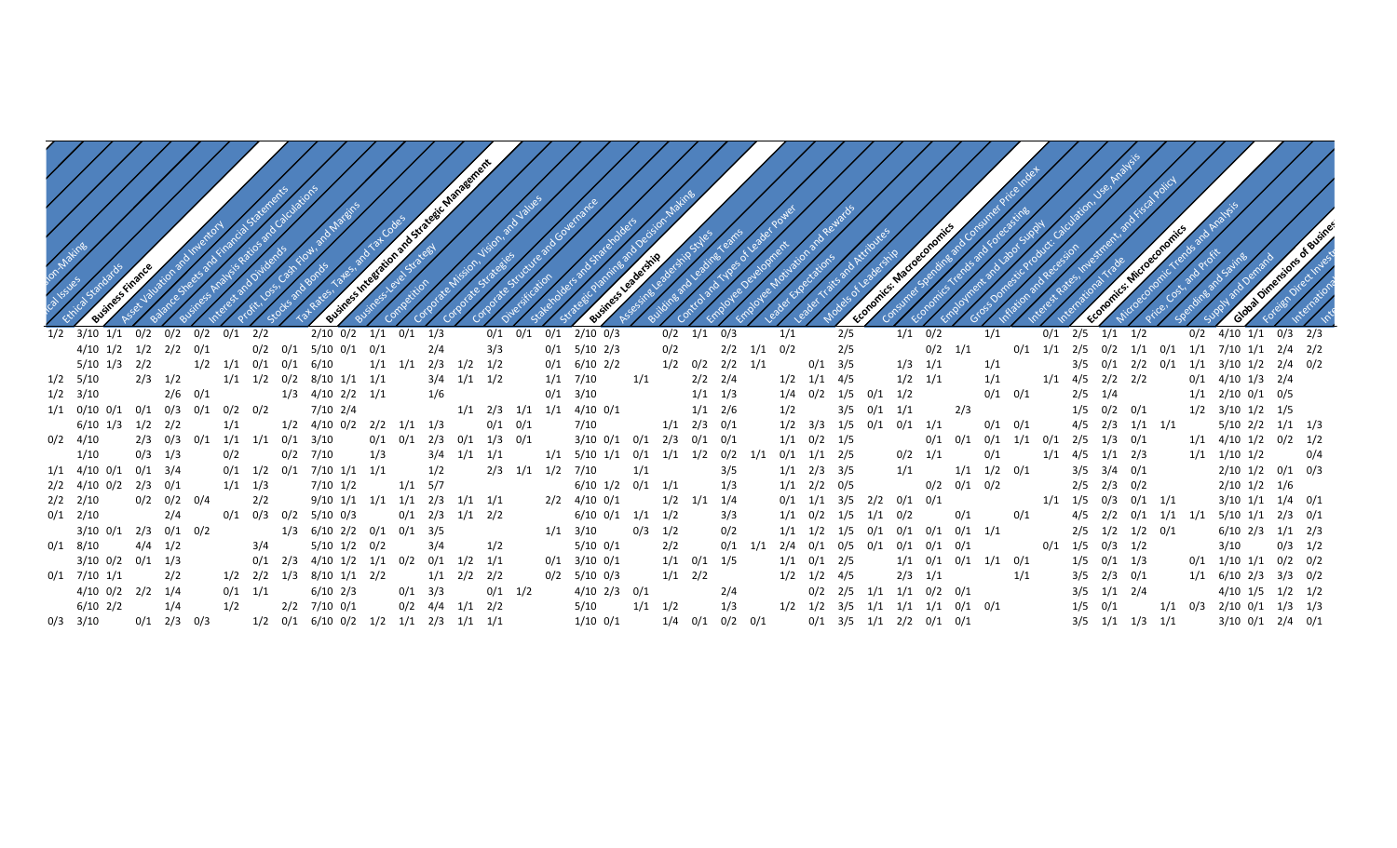|                                                  |           |                         |           |             |             |                                                        | S-Integration and Strategic Management |                                     |                   |             |     |                                                  |             |             |                         |             |                   |     |                   | ⊲ب  |                                     |             |                                                 |     |                   |     |     |             |                                           |  |                                                                    |             |  |
|--------------------------------------------------|-----------|-------------------------|-----------|-------------|-------------|--------------------------------------------------------|----------------------------------------|-------------------------------------|-------------------|-------------|-----|--------------------------------------------------|-------------|-------------|-------------------------|-------------|-------------------|-----|-------------------|-----|-------------------------------------|-------------|-------------------------------------------------|-----|-------------------|-----|-----|-------------|-------------------------------------------|--|--------------------------------------------------------------------|-------------|--|
| $1/2$ $3/10$ $1/1$                               |           | $0/2$ $0/2$ $0/2$ $0/1$ |           |             | 2/2         | $2/10$ 0/2 $1/1$ 0/1 1/3                               |                                        |                                     |                   | $0/1$ $0/1$ | 0/1 | $2/10$ 0/3                                       |             |             | $0/2$ $1/1$ $0/3$       |             |                   | 1/1 |                   | 2/5 |                                     | $1/1$ 0/2   |                                                 |     | 1/1               |     | 0/1 | 2/5         | $1/1$ $1/2$                               |  | $0/2$ 4/10 1/1 0/3 2/3                                             |             |  |
| $4/10$ $1/2$ $1/2$ $2/2$ $0/1$                   |           |                         |           |             |             | $0/2$ $0/1$ $5/10$ $0/1$ $0/1$                         |                                        | 2/4                                 |                   | 3/3         |     | $0/1$ 5/10 2/3                                   |             | 0/2         |                         |             | $2/2$ $1/1$ $0/2$ |     |                   | 2/5 |                                     |             | $0/2$ $1/1$                                     |     |                   |     |     |             |                                           |  | $0/1$ $1/1$ $2/5$ $0/2$ $1/1$ $0/1$ $1/1$ $7/10$ $1/1$ $2/4$ $2/2$ |             |  |
| 5/10 1/3 2/2                                     |           |                         |           |             |             | $1/2$ $1/1$ $0/1$ $0/1$ $6/10$                         |                                        | $1/1$ $1/1$ $2/3$ $1/2$ $1/2$       |                   |             |     | $0/1$ 6/10 2/2                                   |             |             | $1/2$ $0/2$ $2/2$ $1/1$ |             |                   |     | $0/1$ 3/5         |     |                                     | $1/3$ $1/1$ |                                                 |     | 1/1               |     |     |             |                                           |  | $3/5$ $0/1$ $2/2$ $0/1$ $1/1$ $3/10$ $1/2$ $2/4$ $0/2$             |             |  |
| $1/2$ 5/10                                       |           | $2/3$ $1/2$             |           |             |             | $1/1$ $1/2$ $0/2$ $8/10$ $1/1$ $1/1$                   |                                        |                                     | $3/4$ $1/1$ $1/2$ |             |     | $1/1$ 7/10                                       | 1/1         |             | $2/2$ $2/4$             |             |                   |     | $1/2$ $1/1$ $4/5$ |     |                                     | $1/2$ $1/1$ |                                                 |     | 1/1               |     |     |             | $1/1$ $4/5$ $2/2$ $2/2$                   |  | $0/1$ 4/10 1/3 2/4                                                 |             |  |
| $1/2$ $3/10$                                     |           |                         | $2/6$ 0/1 |             |             | 1/3 4/10 2/2 1/1                                       |                                        | 1/6                                 |                   |             |     | $0/1$ $3/10$                                     |             |             | $1/1$ $1/3$             |             |                   |     |                   |     | $1/4$ $0/2$ $1/5$ $0/1$ $1/2$       |             |                                                 |     | $0/1$ $0/1$       |     |     | $2/5$ $1/4$ |                                           |  | $1/1$ $2/10$ $0/1$ $0/5$                                           |             |  |
| $1/1$ $0/10$ $0/1$ $0/1$ $0/3$ $0/1$ $0/2$ $0/2$ |           |                         |           |             |             | 7/10 2/4                                               |                                        |                                     |                   |             |     | $1/1$ $2/3$ $1/1$ $1/1$ $4/10$ $0/1$             |             |             | $1/1$ $2/6$             |             |                   | 1/2 |                   |     | $3/5$ $0/1$ $1/1$                   |             |                                                 | 2/3 |                   |     |     |             | $1/5$ 0/2 0/1                             |  | $1/2$ $3/10$ $1/2$ $1/5$                                           |             |  |
| $6/10$ $1/3$ $1/2$ $2/2$                         |           |                         |           | 1/1         |             | $1/2$ $4/10$ $0/2$ $2/2$ $1/1$ $1/3$                   |                                        |                                     |                   | $0/1$ $0/1$ |     | 7/10                                             |             |             | $1/1$ $2/3$ $0/1$       |             |                   |     |                   |     | $1/2$ $3/3$ $1/5$ $0/1$ $0/1$ $1/1$ |             |                                                 |     | $0/1$ $0/1$       |     |     |             | 4/5 2/3 1/1 1/1                           |  | $5/10$ $2/2$ $1/1$ $1/3$                                           |             |  |
| $0/2$ 4/10                                       |           |                         |           |             |             | $2/3$ 0/3 0/1 1/1 1/1 0/1 3/10                         |                                        | $0/1$ $0/1$ $2/3$ $0/1$ $1/3$ $0/1$ |                   |             |     | $3/10$ $0/1$ $0/1$ $2/3$ $0/1$ $0/1$             |             |             |                         |             |                   |     | $1/1$ $0/2$ $1/5$ |     |                                     |             | 0/1                                             |     |                   |     |     |             | $0/1$ $0/1$ $1/1$ $0/1$ $2/5$ $1/3$ $0/1$ |  | $1/1$ $4/10$ $1/2$ $0/2$ $1/2$                                     |             |  |
| 1/10                                             |           | $0/3$ $1/3$             |           | 0/2         |             | $0/2$ 7/10                                             | 1/3                                    |                                     | $3/4$ $1/1$ $1/1$ |             |     | $1/1$ $5/10$ $1/1$ $0/1$ $1/1$ $1/2$ $0/2$ $1/1$ |             |             |                         |             |                   |     | $0/1$ $1/1$ $2/5$ |     |                                     | $0/2$ $1/1$ |                                                 |     | 0/1               |     |     |             | $1/1$ $4/5$ $1/1$ $2/3$                   |  | $1/1$ $1/10$ $1/2$                                                 | 0/4         |  |
| $1/1$ $4/10$ $0/1$                               | $0/1$ 3/4 |                         |           |             |             | $0/1$ $1/2$ $0/1$ $7/10$ $1/1$ $1/1$                   |                                        | 1/2                                 |                   |             |     | 2/3 1/1 1/2 7/10                                 | 1/1         |             |                         | 3/5         |                   |     | $1/1$ $2/3$ $3/5$ |     |                                     | 1/1         |                                                 |     | $1/1$ $1/2$ $0/1$ |     |     |             | $3/5$ $3/4$ $0/1$                         |  | $2/10$ $1/2$ $0/1$ $0/3$                                           |             |  |
| 2/2 4/10 0/2 2/3 0/1                             |           |                         |           | $1/1$ $1/3$ |             | 7/10 1/2                                               |                                        | $1/1$ 5/7                           |                   |             |     | $6/10$ $1/2$ $0/1$ $1/1$                         |             |             |                         | 1/3         |                   |     | $1/1$ $2/2$ $0/5$ |     |                                     |             | $0/2$ $0/1$ $0/2$                               |     |                   |     |     |             | $2/5$ $2/3$ $0/2$                         |  | $2/10$ $1/2$ $1/6$                                                 |             |  |
| $2/2$ $2/10$                                     |           | $0/2$ $0/2$ $0/4$       |           |             | 2/2         | $9/10$ $1/1$ $1/1$ $1/1$ $2/3$ $1/1$ $1/1$             |                                        |                                     |                   |             |     | $2/2$ $4/10$ $0/1$                               |             |             | $1/2$ $1/1$ $1/4$       |             |                   |     |                   |     | $0/1$ $1/1$ $3/5$ $2/2$ $0/1$ $0/1$ |             |                                                 |     |                   |     |     |             | $1/1$ $1/5$ $0/3$ $0/1$ $1/1$             |  | $3/10$ $1/1$ $1/4$ $0/1$                                           |             |  |
| $0/1$ 2/10                                       |           | 2/4                     |           |             |             | $0/1$ $0/3$ $0/2$ $5/10$ $0/3$                         |                                        | $0/1$ $2/3$ $1/1$ $2/2$             |                   |             |     | $6/10$ $0/1$ $1/1$ $1/2$                         |             |             |                         | 3/3         |                   |     |                   |     | $1/1$ $0/2$ $1/5$ $1/1$ $0/2$       |             |                                                 | 0/1 |                   | 0/1 |     |             |                                           |  | 4/5 2/2 0/1 1/1 1/1 5/10 1/1 2/3 0/1                               |             |  |
| $3/10$ $0/1$ $2/3$ $0/1$ $0/2$                   |           |                         |           |             |             | $1/3$ 6/10 2/2 0/1 0/1 3/5                             |                                        |                                     |                   |             |     | $1/1$ $3/10$                                     | $0/3$ $1/2$ |             |                         | 0/2         |                   |     |                   |     |                                     |             | $1/1$ $1/2$ $1/5$ $0/1$ $0/1$ $0/1$ $0/1$ $1/1$ |     |                   |     |     |             | $2/5$ $1/2$ $1/2$ $0/1$                   |  | $6/10$ $2/3$ $1/1$ $2/3$                                           |             |  |
| $0/1$ 8/10                                       |           | $4/4$ $1/2$             |           |             | 3/4         | $5/10$ $1/2$ $0/2$                                     |                                        | 3/4                                 |                   | 1/2         |     | $5/10$ $0/1$                                     |             | 2/2         |                         | $0/1$ $1/1$ |                   |     |                   |     |                                     |             | $2/4$ 0/1 0/5 0/1 0/1 0/1 0/1                   |     |                   |     | 0/1 |             | $1/5$ 0/3 1/2                             |  | 3/10                                                               | $0/3$ $1/2$ |  |
| $3/10$ $0/2$ $0/1$ $1/3$                         |           |                         |           |             |             | $0/1$ $2/3$ $4/10$ $1/2$ $1/1$ $0/2$ $0/1$ $1/2$ $1/1$ |                                        |                                     |                   |             |     | $0/1$ $3/10$ $0/1$                               |             |             | $1/1$ $0/1$ $1/5$       |             |                   |     | $1/1$ $0/1$ $2/5$ |     |                                     |             | $1/1$ $0/1$ $0/1$ $1/1$ $0/1$                   |     |                   |     |     |             | $1/5$ 0/1 1/3                             |  | $0/1$ $1/10$ $1/1$ $0/2$ $0/2$                                     |             |  |
| $0/1$ 7/10 1/1                                   |           | 2/2                     |           |             |             | $1/2$ $2/2$ $1/3$ $8/10$ $1/1$ $2/2$                   |                                        | $1/1$ $2/2$ $2/2$                   |                   |             |     | $0/2$ 5/10 0/3                                   |             | $1/1$ $2/2$ |                         |             |                   |     | $1/2$ $1/2$ $4/5$ |     |                                     | $2/3$ $1/1$ |                                                 |     |                   | 1/1 |     |             | $3/5$ $2/3$ $0/1$                         |  | $1/1$ 6/10 2/3 3/3 0/2                                             |             |  |
| 4/10 0/2 2/2 1/4                                 |           |                         |           |             | $0/1$ $1/1$ | $6/10$ 2/3                                             |                                        | $0/1$ 3/3                           |                   | $0/1$ $1/2$ |     | $4/10$ 2/3 0/1                                   |             |             |                         | 2/4         |                   |     |                   |     |                                     |             | $0/2$ 2/5 1/1 1/1 0/2 0/1                       |     |                   |     |     |             | $3/5$ $1/1$ $2/4$                         |  | $4/10$ $1/5$ $1/2$ $1/2$                                           |             |  |
| 6/10 2/2                                         |           | 1/4                     |           | 1/2         |             | 2/2 7/10 0/1                                           |                                        | $0/2$ 4/4 1/1 2/2                   |                   |             |     | 5/10                                             |             | $1/1$ $1/2$ |                         | 1/3         |                   |     |                   |     |                                     |             | $1/2$ $1/2$ $3/5$ $1/1$ $1/1$ $1/1$ $0/1$ $0/1$ |     |                   |     |     |             | $1/5$ 0/1                                 |  | $1/1$ $0/3$ $2/10$ $0/1$ $1/3$ $1/3$                               |             |  |
| $0/3$ $3/10$                                     |           | $0/1$ 2/3 0/3           |           |             |             | $1/2$ $0/1$ $6/10$ $0/2$ $1/2$ $1/1$ $2/3$ $1/1$ $1/1$ |                                        |                                     |                   |             |     | $1/10$ $0/1$                                     |             |             | $1/4$ $0/1$ $0/2$ $0/1$ |             |                   |     |                   |     |                                     |             | $0/1$ 3/5 1/1 2/2 0/1 0/1                       |     |                   |     |     |             | $3/5$ $1/1$ $1/3$ $1/1$                   |  | $3/10$ $0/1$ $2/4$ $0/1$                                           |             |  |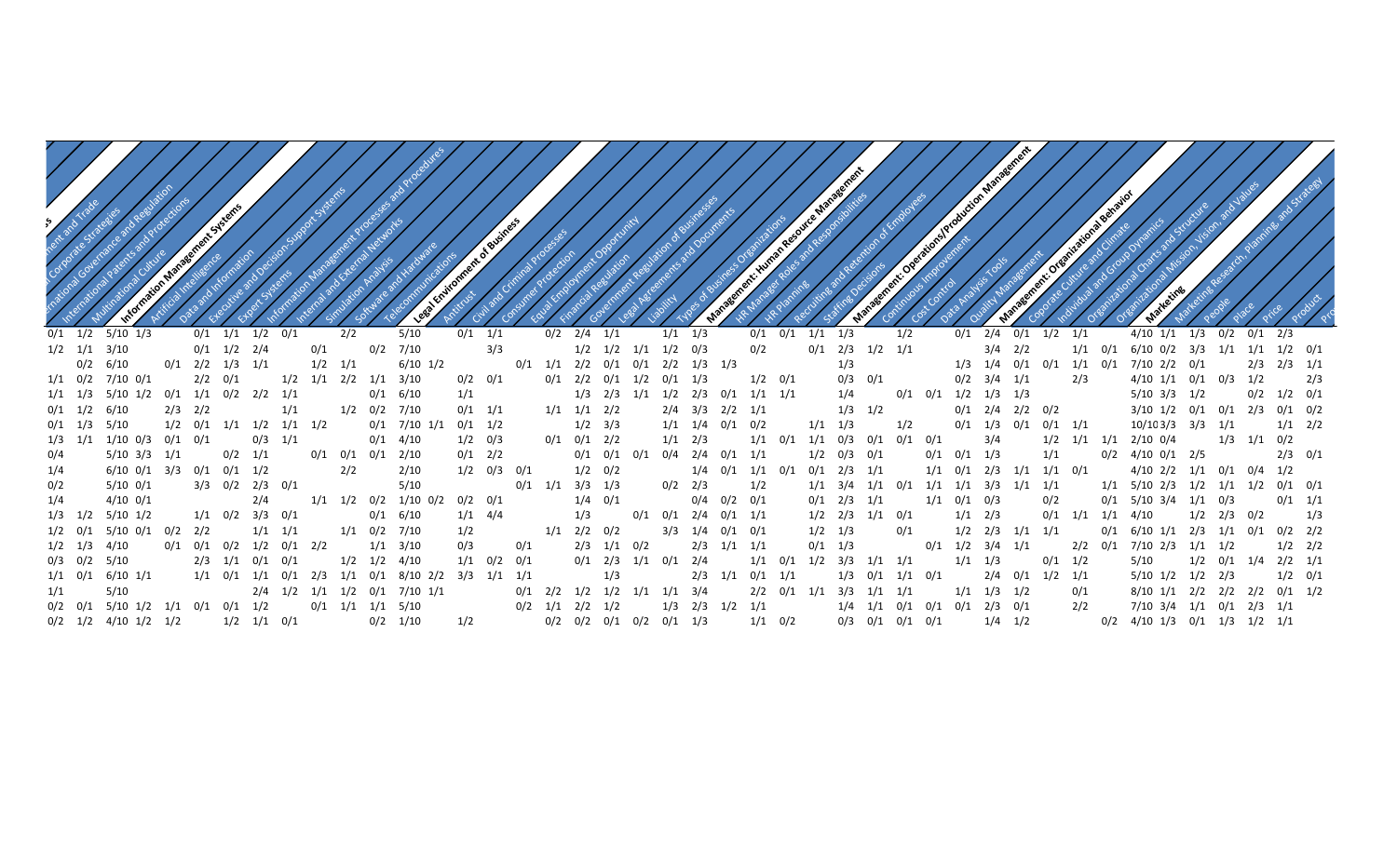| 0/1 2/4 0/1 1/2 1/1<br>4/10 1/1 1/3 0/2 0/1 2/3<br>0/1 1/1 1/2<br>0/1<br>5/10<br>0/1<br>$1/1$ $1/3$<br>0/1<br>0/1 1/1 1/3<br>$0/1$ $1/2$ $5/10$ $1/3$<br>0/2 2/4 1/1<br>1/2                                                                                                                                                                                                                                                           |
|---------------------------------------------------------------------------------------------------------------------------------------------------------------------------------------------------------------------------------------------------------------------------------------------------------------------------------------------------------------------------------------------------------------------------------------|
| $1/2$ $1/1$ $3/10$<br>$3/4$ $2/2$ $1/1$ $0/1$ $6/10$ $0/2$ $3/3$ $1/1$ $1/1$ $1/2$ $0/1$<br>$1/2$ $1/2$ $1/1$ $1/2$ $0/3$<br>0/2<br>$0/1$ 2/3 1/2 1/1<br>$0/1$ $1/2$ $2/4$<br>7/10<br>0/2                                                                                                                                                                                                                                             |
| $0/2$ 6/10<br>$6/10$ $1/2$<br>$1/3$ $1/4$ $0/1$ $0/1$ $1/1$ $0/1$ $7/10$ $2/2$ $0/1$ $2/3$ $2/3$ $1/1$<br>$0/1$ $2/2$ $1/3$ $1/1$<br>$0/1$ $1/1$ $2/2$ $0/1$ $0/1$ $2/2$ $1/3$ $1/3$<br>1/3<br>$1/2$ $1/1$<br>$1/2$ $1/1$ $2/2$ $1/1$ $3/10$<br>$0/3$ $0/1$<br>$0/2$ $3/4$ $1/1$<br>2/3<br>$4/10$ $1/1$ $0/1$ $0/3$ $1/2$ $2/3$<br>$1/1$ $0/2$ $7/10$ $0/1$<br>$2/2$ 0/1<br>$0/2$ $0/1$<br>$0/1$ 2/2 $0/1$ 1/2 $0/1$ 1/3<br>$1/2$ 0/1 |
| $1/4$ 0/1 0/1 1/2 1/3 1/3<br>$0/2$ $1/2$ $0/1$<br>$1/3$ $2/3$ $1/1$ $1/2$ $2/3$ $0/1$ $1/1$ $1/1$<br>5/10 3/3 1/2<br>$1/1$ $1/3$ $5/10$ $1/2$<br>$0/1$ $1/1$ $0/2$ $2/2$ $1/1$<br>0/1 6/10<br>1/1                                                                                                                                                                                                                                     |
| $2/3$ $2/2$<br>1/2 0/2 7/10<br>$0/1$ 2/4 2/2 0/2<br>$3/10$ $1/2$ $0/1$ $0/1$ $2/3$ $0/1$ $0/2$<br>$0/1$ $1/2$ $6/10$<br>$0/1$ $1/1$<br>$1/1$ $1/1$ $2/2$<br>$2/4$ $3/3$ $2/2$ $1/1$<br>$1/3$ $1/2$                                                                                                                                                                                                                                    |
| 10/103/3 3/3 1/1 1/1 2/2<br>$1/2$ $0/1$ $1/1$ $1/2$ $1/1$ $1/2$<br>$0/1$ 7/10 1/1 $0/1$ 1/2<br>$1/1$ $1/3$<br>0/1 1/3 0/1 0/1 1/1<br>$0/1$ $1/3$ $5/10$<br>$1/2$ $3/3$<br>$1/1$ $1/4$ $0/1$ $0/2$<br>1/2                                                                                                                                                                                                                              |
| $1/3$ $1/1$ $0/2$<br>$0/3$ $1/1$<br>1/3 1/1 1/10 0/3 0/1 0/1<br>0/1  0/1  2/2<br>3/4<br>1/2 1/1 1/1 2/10 0/4<br>$0/1$ 4/10<br>$1/2$ 0/3<br>$1/1$ $2/3$<br>1/1<br>1/1 0/3 0/1 0/1 0/1                                                                                                                                                                                                                                                  |
| $0/1$ $0/1$ $1/3$<br>$2/3$ 0/1<br>$0/2$ $1/1$<br>0/1 0/1 0/1 2/10<br>$0/1$ 2/2<br>$0/1$ $0/1$ $0/1$ $0/4$ $2/4$ $0/1$ $1/1$<br>0/2 4/10 0/1 2/5<br>5/10 3/3 1/1<br>$1/2$ 0/3 0/1<br>1/1                                                                                                                                                                                                                                               |
| 1/1 0/1 2/3 1/1 1/1 0/1<br>4/10 2/2 1/1 0/1 0/4 1/2<br>$6/10$ $0/1$ $3/3$ $0/1$ $0/1$ $1/2$<br>2/10<br>$1/2$ 0/3 0/1<br>$1/2$ 0/2<br>1/4  0/1  1/1  0/1  0/1  2/3  1/1                                                                                                                                                                                                                                                                |
| $3/3$ $0/2$ $2/3$ $0/1$<br>5/10 0/1<br>5/10<br>1/1 5/10 2/3 1/2 1/1 1/2 0/1 0/1<br>0/2<br>$1/1$ $1/1$ $3/3$ $1/1$ $1/1$<br>$0/1$ $1/1$ $3/3$ $1/3$<br>$0/2$ 2/3<br>1/2<br>$1/1$ $3/4$ $1/1$<br>0/1                                                                                                                                                                                                                                    |
| $1/1$ $1/2$ $0/2$ $1/10$ $0/2$ $0/2$ $0/1$<br>$4/10$ 0/1<br>$1/4$ 0/1<br>$0/4$ $0/2$ $0/1$<br>$0/1$ $2/3$ $1/1$<br>$1/1$ 0/1 0/3<br>$0/1$ 5/10 3/4 1/1 0/3<br>$0/1$ $1/1$                                                                                                                                                                                                                                                             |
| $1/3$ $1/2$ $5/10$ $1/2$<br>$0/1$ $1/1$ $1/1$ $4/10$ $1/2$ $2/3$ $0/2$ $1/3$<br>$1/1$ $0/2$ $3/3$ $0/1$<br>$0/1$ $0/1$ $2/4$ $0/1$ $1/1$<br>$1/1$ $2/3$<br>0/1 6/10<br>$1/1$ 4/4<br>1/3<br>$1/2$ $2/3$ $1/1$ $0/1$                                                                                                                                                                                                                    |
| $0/2$ 2/2<br>$1/1$ $1/1$<br>0/1 6/10 1/1 2/3 1/1 0/1 0/2 2/2<br>$1/2$ $0/1$ $5/10$ $0/1$<br>1/1 0/2 7/10<br>$1/1$ $2/2$ $0/2$<br>3/3 1/4 0/1 0/1<br>$1/2$ $1/3$<br>1/2 2/3 1/1 1/1<br>1/2<br>0/1                                                                                                                                                                                                                                      |
| $0/1$ $0/1$ $0/2$ $1/2$ $0/1$ $2/2$<br>2/2 0/1 7/10 2/3 1/1 1/2<br>$1/2$ $2/2$<br>0/3<br>$2/3$ $1/1$<br>$0/1$ $1/2$ $3/4$<br>$1/2$ $1/3$ $4/10$<br>1/1<br>3/10<br>0/2<br>$2/3$ $1/1$<br>1/1<br>$0/1$ $1/3$<br>1/1                                                                                                                                                                                                                     |
| $5/10$ $1/2$ $0/1$ $1/4$ $2/2$ $1/1$<br>$0/3$ $0/2$ $5/10$<br>$2/3$ $1/1$ $0/1$ $0/1$<br>$1/2$ $1/2$ $4/10$<br>$1/1$ $0/2$ $0/1$<br>$0/1$ 2/3 1/1 $0/1$ 2/4<br>$1/1$ $1/3$<br>1/2 3/3 1/1 1/1<br>$0/1$ $1/2$<br>1/1                                                                                                                                                                                                                   |
| $1/2$ 0/1<br>$1/1$ $0/1$ $6/10$ $1/1$<br>1/1 0/1 1/1 0/1 2/3 1/1 0/1 8/10 2/2 3/3 1/1 1/1<br>2/4 0/1 1/2 1/1<br>5/10 1/2 1/2 2/3<br>$2/3$ $1/1$ $0/1$ $1/1$<br>1/3 0/1 1/1 0/1<br>1/3                                                                                                                                                                                                                                                 |
| 5/10<br>8/10 1/1 2/2 2/2 2/2 0/1 1/2<br>$2/4$ $1/2$ $1/1$ $1/2$ $0/1$ $7/10$ $1/1$<br>$0/1$ $2/2$ $1/2$ $1/2$ $1/1$ $1/1$ $3/4$<br>$2/2$ $0/1$ $1/1$ $3/3$ $1/1$ $1/1$<br>$1/1$ $1/3$<br>0/1<br>1/2                                                                                                                                                                                                                                   |
| 0/2 0/1 5/10 1/2 1/1 0/1 0/1 1/2 0/1 1/1 1/1 5/10<br>1/4 1/1 0/1 0/1 0/1 2/3 0/1<br>2/2<br>7/10 3/4 1/1 0/1 2/3 1/1<br>$1/3$ $2/3$ $1/2$ $1/1$<br>0/2 1/1 2/2 1/2                                                                                                                                                                                                                                                                     |
| $0/2$ 4/10 1/3 $0/1$ 1/3 1/2 1/1<br>0/2 1/2 4/10 1/2 1/2<br>$1/2$ $1/1$ $0/1$<br>$0/2$ $1/10$<br>0/2 0/2 0/1 0/2 0/1 1/3<br>$1/1$ 0/2<br>0/3 0/1 0/1 0/1<br>$1/4$ $1/2$                                                                                                                                                                                                                                                               |